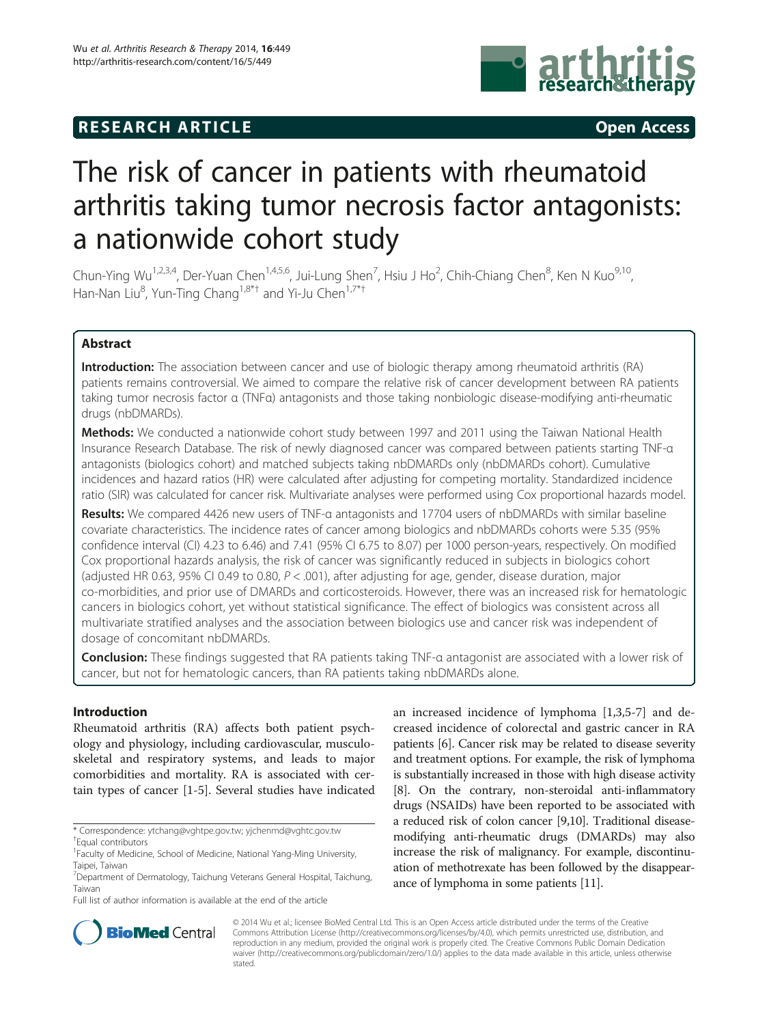## **RESEARCH ARTICLE Example 2014 The SEAR CH ACCESS**



# The risk of cancer in patients with rheumatoid arthritis taking tumor necrosis factor antagonists: a nationwide cohort study

Chun-Ying Wu<sup>1,2,3,4</sup>, Der-Yuan Chen<sup>1,4,5,6</sup>, Jui-Lung Shen<sup>7</sup>, Hsiu J Ho<sup>2</sup>, Chih-Chiang Chen<sup>8</sup>, Ken N Kuo<sup>9,10</sup>, Han-Nan Liu<sup>8</sup>, Yun-Ting Chang<sup>1,8\*†</sup> and Yi-Ju Chen<sup>1,7\*†</sup>

## Abstract

Introduction: The association between cancer and use of biologic therapy among rheumatoid arthritis (RA) patients remains controversial. We aimed to compare the relative risk of cancer development between RA patients taking tumor necrosis factor α (TNFα) antagonists and those taking nonbiologic disease-modifying anti-rheumatic drugs (nbDMARDs).

Methods: We conducted a nationwide cohort study between 1997 and 2011 using the Taiwan National Health Insurance Research Database. The risk of newly diagnosed cancer was compared between patients starting TNF-α antagonists (biologics cohort) and matched subjects taking nbDMARDs only (nbDMARDs cohort). Cumulative incidences and hazard ratios (HR) were calculated after adjusting for competing mortality. Standardized incidence ratio (SIR) was calculated for cancer risk. Multivariate analyses were performed using Cox proportional hazards model.

Results: We compared 4426 new users of TNF-a antagonists and 17704 users of nbDMARDs with similar baseline covariate characteristics. The incidence rates of cancer among biologics and nbDMARDs cohorts were 5.35 (95% confidence interval (CI) 4.23 to 6.46) and 7.41 (95% CI 6.75 to 8.07) per 1000 person-years, respectively. On modified Cox proportional hazards analysis, the risk of cancer was significantly reduced in subjects in biologics cohort (adjusted HR 0.63, 95% CI 0.49 to 0.80,  $P < .001$ ), after adjusting for age, gender, disease duration, major co-morbidities, and prior use of DMARDs and corticosteroids. However, there was an increased risk for hematologic cancers in biologics cohort, yet without statistical significance. The effect of biologics was consistent across all multivariate stratified analyses and the association between biologics use and cancer risk was independent of dosage of concomitant nbDMARDs.

Conclusion: These findings suggested that RA patients taking TNF-a antagonist are associated with a lower risk of cancer, but not for hematologic cancers, than RA patients taking nbDMARDs alone.

## Introduction

Rheumatoid arthritis (RA) affects both patient psychology and physiology, including cardiovascular, musculoskeletal and respiratory systems, and leads to major comorbidities and mortality. RA is associated with certain types of cancer [[1-5](#page-10-0)]. Several studies have indicated an increased incidence of lymphoma [\[1,3,5](#page-10-0)-[7\]](#page-10-0) and decreased incidence of colorectal and gastric cancer in RA patients [\[6](#page-10-0)]. Cancer risk may be related to disease severity and treatment options. For example, the risk of lymphoma is substantially increased in those with high disease activity [[8\]](#page-10-0). On the contrary, non-steroidal anti-inflammatory drugs (NSAIDs) have been reported to be associated with a reduced risk of colon cancer [\[9,10\]](#page-10-0). Traditional diseasemodifying anti-rheumatic drugs (DMARDs) may also increase the risk of malignancy. For example, discontinuation of methotrexate has been followed by the disappearance of lymphoma in some patients [\[11](#page-10-0)].



© 2014 Wu et al.; licensee BioMed Central Ltd. This is an Open Access article distributed under the terms of the Creative Commons Attribution License [\(http://creativecommons.org/licenses/by/4.0\)](http://creativecommons.org/licenses/by/4.0), which permits unrestricted use, distribution, and reproduction in any medium, provided the original work is properly cited. The Creative Commons Public Domain Dedication waiver [\(http://creativecommons.org/publicdomain/zero/1.0/\)](http://creativecommons.org/publicdomain/zero/1.0/) applies to the data made available in this article, unless otherwise stated.

<sup>\*</sup> Correspondence: [ytchang@vghtpe.gov.tw](mailto:ytchang@vghtpe.gov.tw); [yjchenmd@vghtc.gov.tw](mailto:yjchenmd@vghtc.gov.tw) † Equal contributors

<sup>&</sup>lt;sup>1</sup> Faculty of Medicine, School of Medicine, National Yang-Ming University, Taipei, Taiwan

<sup>&</sup>lt;sup>7</sup> Department of Dermatology, Taichung Veterans General Hospital, Taichung, Taiwan

Full list of author information is available at the end of the article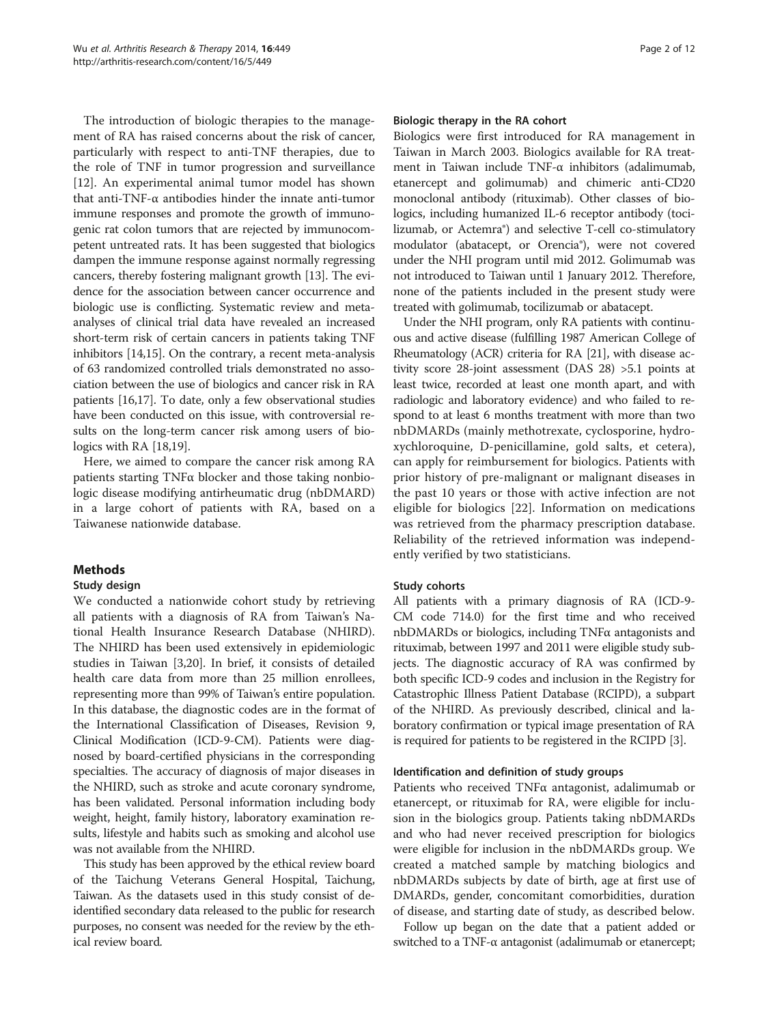<span id="page-1-0"></span>The introduction of biologic therapies to the management of RA has raised concerns about the risk of cancer, particularly with respect to anti-TNF therapies, due to the role of TNF in tumor progression and surveillance [[12\]](#page-10-0). An experimental animal tumor model has shown that anti-TNF-α antibodies hinder the innate anti-tumor immune responses and promote the growth of immunogenic rat colon tumors that are rejected by immunocompetent untreated rats. It has been suggested that biologics dampen the immune response against normally regressing cancers, thereby fostering malignant growth [\[13\]](#page-10-0). The evidence for the association between cancer occurrence and biologic use is conflicting. Systematic review and metaanalyses of clinical trial data have revealed an increased short-term risk of certain cancers in patients taking TNF inhibitors [\[14,15\]](#page-10-0). On the contrary, a recent meta-analysis of 63 randomized controlled trials demonstrated no association between the use of biologics and cancer risk in RA patients [[16,17\]](#page-10-0). To date, only a few observational studies have been conducted on this issue, with controversial results on the long-term cancer risk among users of biologics with RA [\[18,19](#page-10-0)].

Here, we aimed to compare the cancer risk among RA patients starting TNFα blocker and those taking nonbiologic disease modifying antirheumatic drug (nbDMARD) in a large cohort of patients with RA, based on a Taiwanese nationwide database.

## Methods

## Study design

We conducted a nationwide cohort study by retrieving all patients with a diagnosis of RA from Taiwan's National Health Insurance Research Database (NHIRD). The NHIRD has been used extensively in epidemiologic studies in Taiwan [\[3,20](#page-10-0)]. In brief, it consists of detailed health care data from more than 25 million enrollees, representing more than 99% of Taiwan's entire population. In this database, the diagnostic codes are in the format of the International Classification of Diseases, Revision 9, Clinical Modification (ICD-9-CM). Patients were diagnosed by board-certified physicians in the corresponding specialties. The accuracy of diagnosis of major diseases in the NHIRD, such as stroke and acute coronary syndrome, has been validated. Personal information including body weight, height, family history, laboratory examination results, lifestyle and habits such as smoking and alcohol use was not available from the NHIRD.

This study has been approved by the ethical review board of the Taichung Veterans General Hospital, Taichung, Taiwan. As the datasets used in this study consist of deidentified secondary data released to the public for research purposes, no consent was needed for the review by the ethical review board.

#### Biologic therapy in the RA cohort

Biologics were first introduced for RA management in Taiwan in March 2003. Biologics available for RA treatment in Taiwan include TNF-α inhibitors (adalimumab, etanercept and golimumab) and chimeric anti-CD20 monoclonal antibody (rituximab). Other classes of biologics, including humanized IL-6 receptor antibody (tocilizumab, or Actemra®) and selective T-cell co-stimulatory modulator (abatacept, or Orencia®), were not covered under the NHI program until mid 2012. Golimumab was not introduced to Taiwan until 1 January 2012. Therefore, none of the patients included in the present study were treated with golimumab, tocilizumab or abatacept.

Under the NHI program, only RA patients with continuous and active disease (fulfilling 1987 American College of Rheumatology (ACR) criteria for RA [[21\]](#page-10-0), with disease activity score 28-joint assessment (DAS 28) >5.1 points at least twice, recorded at least one month apart, and with radiologic and laboratory evidence) and who failed to respond to at least 6 months treatment with more than two nbDMARDs (mainly methotrexate, cyclosporine, hydroxychloroquine, D-penicillamine, gold salts, et cetera), can apply for reimbursement for biologics. Patients with prior history of pre-malignant or malignant diseases in the past 10 years or those with active infection are not eligible for biologics [\[22](#page-10-0)]. Information on medications was retrieved from the pharmacy prescription database. Reliability of the retrieved information was independently verified by two statisticians.

#### Study cohorts

All patients with a primary diagnosis of RA (ICD-9- CM code 714.0) for the first time and who received nbDMARDs or biologics, including TNFα antagonists and rituximab, between 1997 and 2011 were eligible study subjects. The diagnostic accuracy of RA was confirmed by both specific ICD-9 codes and inclusion in the Registry for Catastrophic Illness Patient Database (RCIPD), a subpart of the NHIRD. As previously described, clinical and laboratory confirmation or typical image presentation of RA is required for patients to be registered in the RCIPD [[3\]](#page-10-0).

#### Identification and definition of study groups

Patients who received TNFα antagonist, adalimumab or etanercept, or rituximab for RA, were eligible for inclusion in the biologics group. Patients taking nbDMARDs and who had never received prescription for biologics were eligible for inclusion in the nbDMARDs group. We created a matched sample by matching biologics and nbDMARDs subjects by date of birth, age at first use of DMARDs, gender, concomitant comorbidities, duration of disease, and starting date of study, as described below.

Follow up began on the date that a patient added or switched to a TNF-α antagonist (adalimumab or etanercept;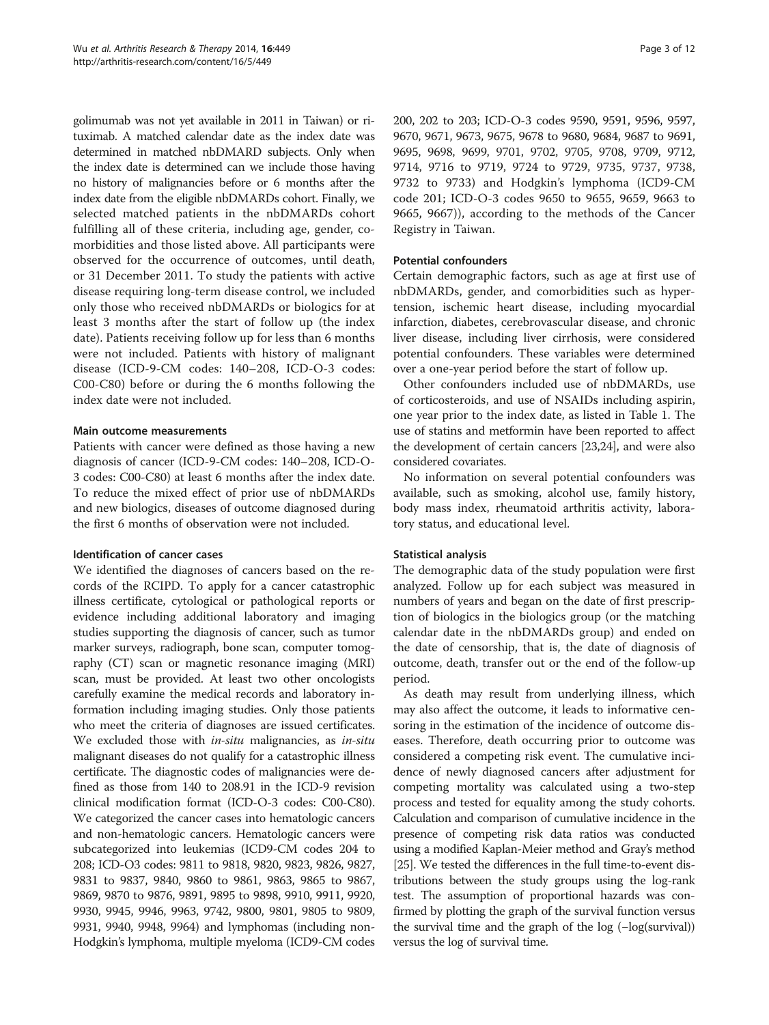golimumab was not yet available in 2011 in Taiwan) or rituximab. A matched calendar date as the index date was determined in matched nbDMARD subjects. Only when the index date is determined can we include those having no history of malignancies before or 6 months after the index date from the eligible nbDMARDs cohort. Finally, we selected matched patients in the nbDMARDs cohort fulfilling all of these criteria, including age, gender, comorbidities and those listed above. All participants were observed for the occurrence of outcomes, until death, or 31 December 2011. To study the patients with active disease requiring long-term disease control, we included only those who received nbDMARDs or biologics for at least 3 months after the start of follow up (the index date). Patients receiving follow up for less than 6 months were not included. Patients with history of malignant disease (ICD-9-CM codes: 140–208, ICD-O-3 codes: C00-C80) before or during the 6 months following the index date were not included.

## Main outcome measurements

Patients with cancer were defined as those having a new diagnosis of cancer (ICD-9-CM codes: 140–208, ICD-O-3 codes: C00-C80) at least 6 months after the index date. To reduce the mixed effect of prior use of nbDMARDs and new biologics, diseases of outcome diagnosed during the first 6 months of observation were not included.

#### Identification of cancer cases

We identified the diagnoses of cancers based on the records of the RCIPD. To apply for a cancer catastrophic illness certificate, cytological or pathological reports or evidence including additional laboratory and imaging studies supporting the diagnosis of cancer, such as tumor marker surveys, radiograph, bone scan, computer tomography (CT) scan or magnetic resonance imaging (MRI) scan, must be provided. At least two other oncologists carefully examine the medical records and laboratory information including imaging studies. Only those patients who meet the criteria of diagnoses are issued certificates. We excluded those with *in-situ* malignancies, as *in-situ* malignant diseases do not qualify for a catastrophic illness certificate. The diagnostic codes of malignancies were defined as those from 140 to 208.91 in the ICD-9 revision clinical modification format (ICD-O-3 codes: C00-C80). We categorized the cancer cases into hematologic cancers and non-hematologic cancers. Hematologic cancers were subcategorized into leukemias (ICD9-CM codes 204 to 208; ICD-O3 codes: 9811 to 9818, 9820, 9823, 9826, 9827, 9831 to 9837, 9840, 9860 to 9861, 9863, 9865 to 9867, 9869, 9870 to 9876, 9891, 9895 to 9898, 9910, 9911, 9920, 9930, 9945, 9946, 9963, 9742, 9800, 9801, 9805 to 9809, 9931, 9940, 9948, 9964) and lymphomas (including non-Hodgkin's lymphoma, multiple myeloma (ICD9-CM codes 200, 202 to 203; ICD-O-3 codes 9590, 9591, 9596, 9597, 9670, 9671, 9673, 9675, 9678 to 9680, 9684, 9687 to 9691, 9695, 9698, 9699, 9701, 9702, 9705, 9708, 9709, 9712, 9714, 9716 to 9719, 9724 to 9729, 9735, 9737, 9738, 9732 to 9733) and Hodgkin's lymphoma (ICD9-CM code 201; ICD-O-3 codes 9650 to 9655, 9659, 9663 to 9665, 9667)), according to the methods of the Cancer Registry in Taiwan.

## Potential confounders

Certain demographic factors, such as age at first use of nbDMARDs, gender, and comorbidities such as hypertension, ischemic heart disease, including myocardial infarction, diabetes, cerebrovascular disease, and chronic liver disease, including liver cirrhosis, were considered potential confounders. These variables were determined over a one-year period before the start of follow up.

Other confounders included use of nbDMARDs, use of corticosteroids, and use of NSAIDs including aspirin, one year prior to the index date, as listed in Table [1](#page-3-0). The use of statins and metformin have been reported to affect the development of certain cancers [\[23,24\]](#page-10-0), and were also considered covariates.

No information on several potential confounders was available, such as smoking, alcohol use, family history, body mass index, rheumatoid arthritis activity, laboratory status, and educational level.

## Statistical analysis

The demographic data of the study population were first analyzed. Follow up for each subject was measured in numbers of years and began on the date of first prescription of biologics in the biologics group (or the matching calendar date in the nbDMARDs group) and ended on the date of censorship, that is, the date of diagnosis of outcome, death, transfer out or the end of the follow-up period.

As death may result from underlying illness, which may also affect the outcome, it leads to informative censoring in the estimation of the incidence of outcome diseases. Therefore, death occurring prior to outcome was considered a competing risk event. The cumulative incidence of newly diagnosed cancers after adjustment for competing mortality was calculated using a two-step process and tested for equality among the study cohorts. Calculation and comparison of cumulative incidence in the presence of competing risk data ratios was conducted using a modified Kaplan-Meier method and Gray's method [[25](#page-10-0)]. We tested the differences in the full time-to-event distributions between the study groups using the log-rank test. The assumption of proportional hazards was confirmed by plotting the graph of the survival function versus the survival time and the graph of the log (−log(survival)) versus the log of survival time.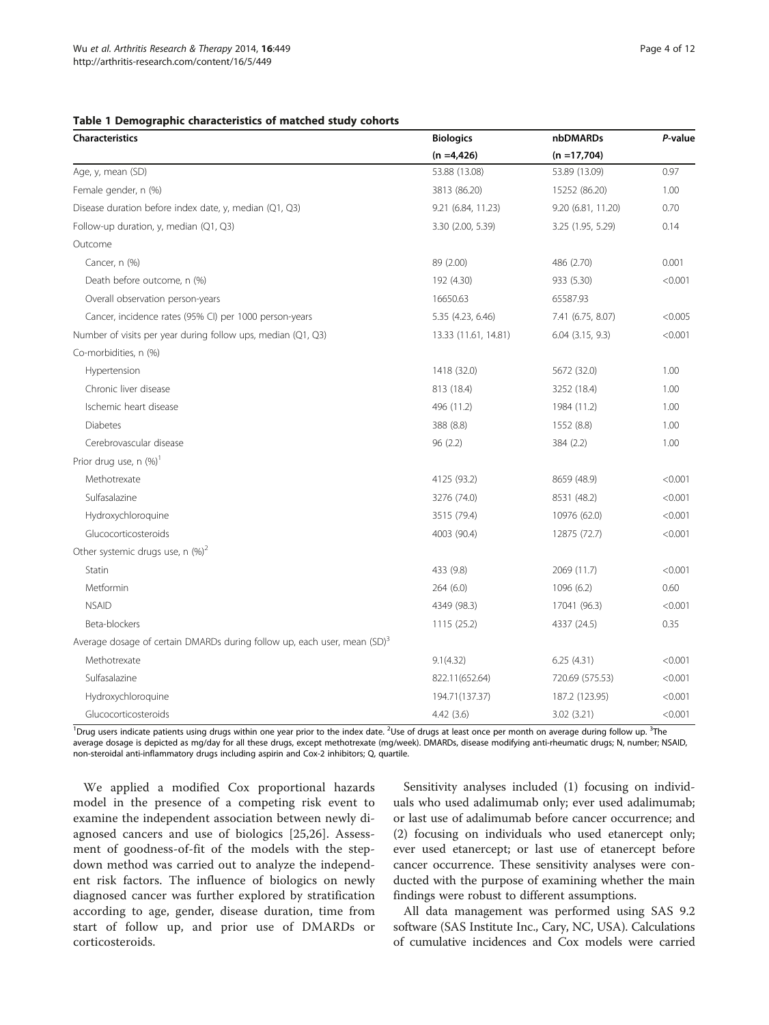#### <span id="page-3-0"></span>Table 1 Demographic characteristics of matched study cohorts

| <b>Characteristics</b>                                                               | <b>Biologics</b>     | nbDMARDs             | P-value |
|--------------------------------------------------------------------------------------|----------------------|----------------------|---------|
|                                                                                      | $(n = 4, 426)$       | $(n = 17, 704)$      |         |
| Age, y, mean (SD)                                                                    | 53.88 (13.08)        | 53.89 (13.09)        | 0.97    |
| Female gender, n (%)                                                                 | 3813 (86.20)         | 15252 (86.20)        | 1.00    |
| Disease duration before index date, y, median (Q1, Q3)                               | 9.21 (6.84, 11.23)   | 9.20 (6.81, 11.20)   | 0.70    |
| Follow-up duration, y, median (Q1, Q3)                                               | 3.30 (2.00, 5.39)    | 3.25 (1.95, 5.29)    | 0.14    |
| Outcome                                                                              |                      |                      |         |
| Cancer, n (%)                                                                        | 89 (2.00)            | 486 (2.70)           | 0.001   |
| Death before outcome, n (%)                                                          | 192 (4.30)           | 933 (5.30)           | < 0.001 |
| Overall observation person-years                                                     | 16650.63             | 65587.93             |         |
| Cancer, incidence rates (95% CI) per 1000 person-years                               | 5.35 (4.23, 6.46)    | 7.41 (6.75, 8.07)    | < 0.005 |
| Number of visits per year during follow ups, median (Q1, Q3)                         | 13.33 (11.61, 14.81) | $6.04$ $(3.15, 9.3)$ | < 0.001 |
| Co-morbidities, n (%)                                                                |                      |                      |         |
| Hypertension                                                                         | 1418 (32.0)          | 5672 (32.0)          | 1.00    |
| Chronic liver disease                                                                | 813 (18.4)           | 3252 (18.4)          | 1.00    |
| Ischemic heart disease                                                               | 496 (11.2)           | 1984 (11.2)          | 1.00    |
| <b>Diabetes</b>                                                                      | 388 (8.8)            | 1552 (8.8)           | 1.00    |
| Cerebrovascular disease                                                              | 96(2.2)              | 384 (2.2)            | 1.00    |
| Prior drug use, n $(\%)^1$                                                           |                      |                      |         |
| Methotrexate                                                                         | 4125 (93.2)          | 8659 (48.9)          | < 0.001 |
| Sulfasalazine                                                                        | 3276 (74.0)          | 8531 (48.2)          | < 0.001 |
| Hydroxychloroquine                                                                   | 3515 (79.4)          | 10976 (62.0)         | < 0.001 |
| Glucocorticosteroids                                                                 | 4003 (90.4)          | 12875 (72.7)         | < 0.001 |
| Other systemic drugs use, n $(\%)^2$                                                 |                      |                      |         |
| Statin                                                                               | 433 (9.8)            | 2069 (11.7)          | < 0.001 |
| Metformin                                                                            | 264(6.0)             | 1096 (6.2)           | 0.60    |
| <b>NSAID</b>                                                                         | 4349 (98.3)          | 17041 (96.3)         | < 0.001 |
| Beta-blockers                                                                        | 1115 (25.2)          | 4337 (24.5)          | 0.35    |
| Average dosage of certain DMARDs during follow up, each user, mean (SD) <sup>3</sup> |                      |                      |         |
| Methotrexate                                                                         | 9.1(4.32)            | 6.25(4.31)           | < 0.001 |
| Sulfasalazine                                                                        | 822.11(652.64)       | 720.69 (575.53)      | < 0.001 |
| Hydroxychloroquine                                                                   | 194.71(137.37)       | 187.2 (123.95)       | < 0.001 |
| Glucocorticosteroids                                                                 | 4.42 (3.6)           | 3.02 (3.21)          | < 0.001 |

<sup>1</sup>Drug users indicate patients using drugs within one year prior to the index date. <sup>2</sup>Use of drugs at least once per month on average during follow up. <sup>3</sup>The average dosage is depicted as mg/day for all these drugs, except methotrexate (mg/week). DMARDs, disease modifying anti-rheumatic drugs; N, number; NSAID, non-steroidal anti-inflammatory drugs including aspirin and Cox-2 inhibitors; Q, quartile.

We applied a modified Cox proportional hazards model in the presence of a competing risk event to examine the independent association between newly diagnosed cancers and use of biologics [\[25](#page-10-0),[26\]](#page-10-0). Assessment of goodness-of-fit of the models with the stepdown method was carried out to analyze the independent risk factors. The influence of biologics on newly diagnosed cancer was further explored by stratification according to age, gender, disease duration, time from start of follow up, and prior use of DMARDs or corticosteroids.

Sensitivity analyses included (1) focusing on individuals who used adalimumab only; ever used adalimumab; or last use of adalimumab before cancer occurrence; and (2) focusing on individuals who used etanercept only; ever used etanercept; or last use of etanercept before cancer occurrence. These sensitivity analyses were conducted with the purpose of examining whether the main findings were robust to different assumptions.

All data management was performed using SAS 9.2 software (SAS Institute Inc., Cary, NC, USA). Calculations of cumulative incidences and Cox models were carried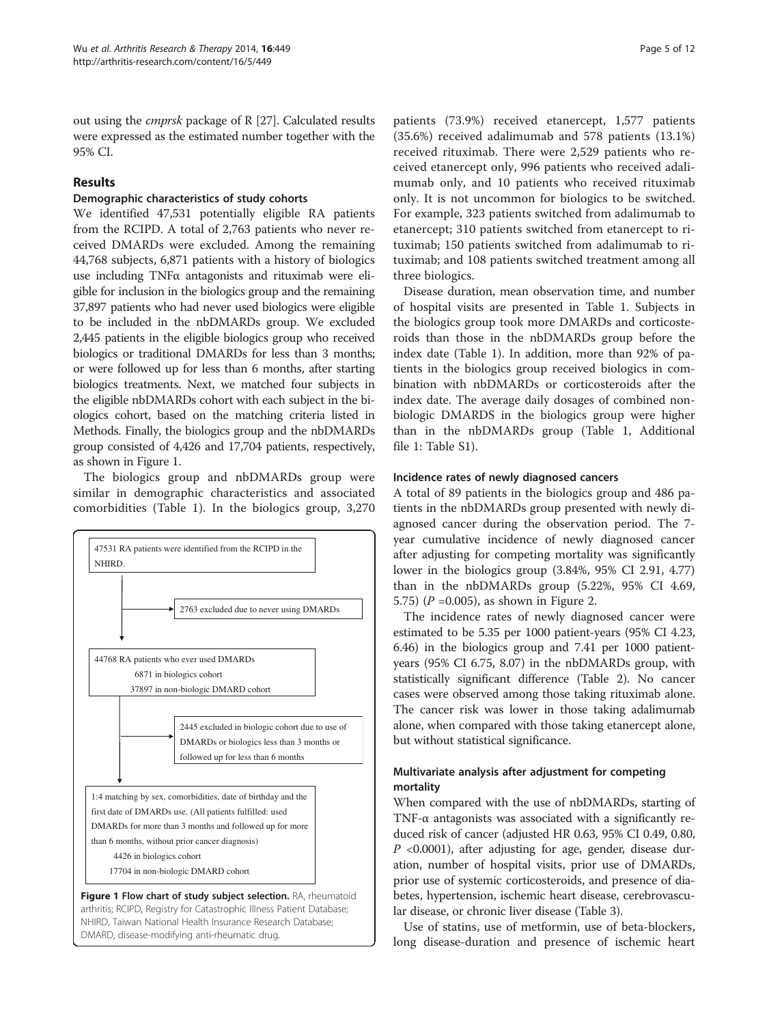out using the cmprsk package of R [\[27](#page-10-0)]. Calculated results were expressed as the estimated number together with the 95% CI.

## Results

## Demographic characteristics of study cohorts

We identified 47,531 potentially eligible RA patients from the RCIPD. A total of 2,763 patients who never received DMARDs were excluded. Among the remaining 44,768 subjects, 6,871 patients with a history of biologics use including TNFα antagonists and rituximab were eligible for inclusion in the biologics group and the remaining 37,897 patients who had never used biologics were eligible to be included in the nbDMARDs group. We excluded 2,445 patients in the eligible biologics group who received biologics or traditional DMARDs for less than 3 months; or were followed up for less than 6 months, after starting biologics treatments. Next, we matched four subjects in the eligible nbDMARDs cohort with each subject in the biologics cohort, based on the matching criteria listed in [Methods.](#page-1-0) Finally, the biologics group and the nbDMARDs group consisted of 4,426 and 17,704 patients, respectively, as shown in Figure 1.

The biologics group and nbDMARDs group were similar in demographic characteristics and associated comorbidities (Table [1\)](#page-3-0). In the biologics group, 3,270



patients (73.9%) received etanercept, 1,577 patients (35.6%) received adalimumab and 578 patients (13.1%) received rituximab. There were 2,529 patients who received etanercept only, 996 patients who received adalimumab only, and 10 patients who received rituximab only. It is not uncommon for biologics to be switched. For example, 323 patients switched from adalimumab to etanercept; 310 patients switched from etanercept to rituximab; 150 patients switched from adalimumab to rituximab; and 108 patients switched treatment among all three biologics.

Disease duration, mean observation time, and number of hospital visits are presented in Table [1](#page-3-0). Subjects in the biologics group took more DMARDs and corticosteroids than those in the nbDMARDs group before the index date (Table [1\)](#page-3-0). In addition, more than 92% of patients in the biologics group received biologics in combination with nbDMARDs or corticosteroids after the index date. The average daily dosages of combined nonbiologic DMARDS in the biologics group were higher than in the nbDMARDs group (Table [1,](#page-3-0) Additional file [1:](#page-9-0) Table S1).

#### Incidence rates of newly diagnosed cancers

A total of 89 patients in the biologics group and 486 patients in the nbDMARDs group presented with newly diagnosed cancer during the observation period. The 7 year cumulative incidence of newly diagnosed cancer after adjusting for competing mortality was significantly lower in the biologics group (3.84%, 95% CI 2.91, 4.77) than in the nbDMARDs group (5.22%, 95% CI 4.69, 5.75) ( $P = 0.005$ ), as shown in Figure [2](#page-5-0).

The incidence rates of newly diagnosed cancer were estimated to be 5.35 per 1000 patient-years (95% CI 4.23, 6.46) in the biologics group and 7.41 per 1000 patientyears (95% CI 6.75, 8.07) in the nbDMARDs group, with statistically significant difference (Table [2\)](#page-5-0). No cancer cases were observed among those taking rituximab alone. The cancer risk was lower in those taking adalimumab alone, when compared with those taking etanercept alone, but without statistical significance.

## Multivariate analysis after adjustment for competing mortality

When compared with the use of nbDMARDs, starting of TNF-α antagonists was associated with a significantly reduced risk of cancer (adjusted HR 0.63, 95% CI 0.49, 0.80,  $P$  <0.0001), after adjusting for age, gender, disease duration, number of hospital visits, prior use of DMARDs, prior use of systemic corticosteroids, and presence of diabetes, hypertension, ischemic heart disease, cerebrovascular disease, or chronic liver disease (Table [3](#page-6-0)).

Use of statins, use of metformin, use of beta-blockers, long disease-duration and presence of ischemic heart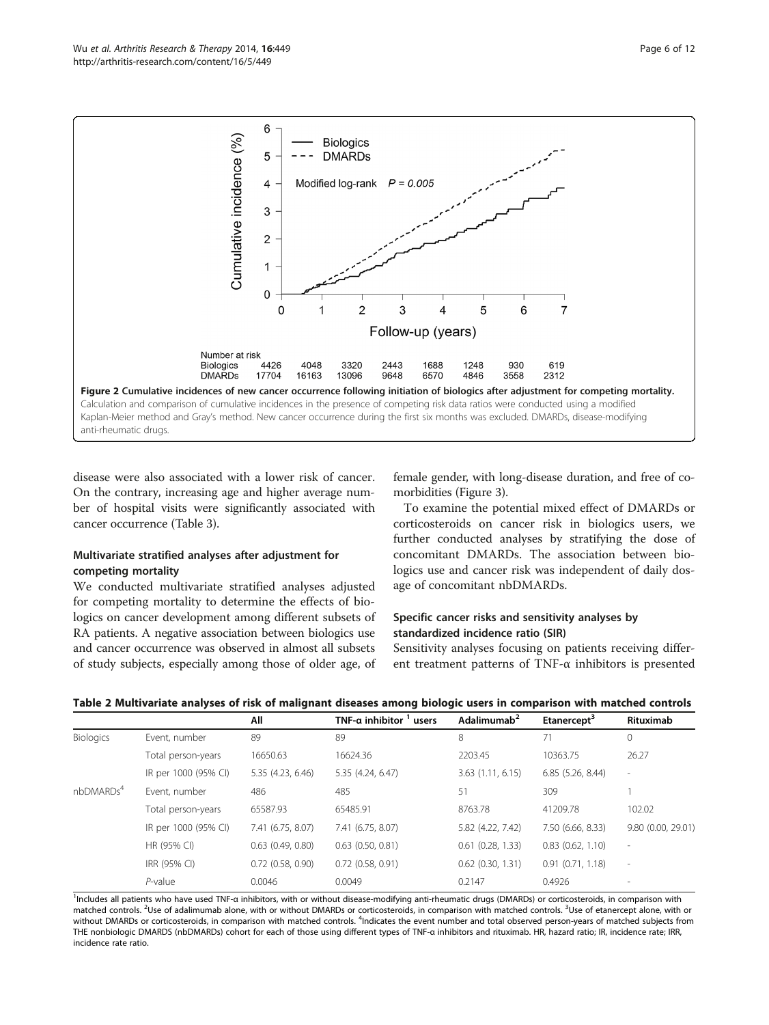<span id="page-5-0"></span>

disease were also associated with a lower risk of cancer. On the contrary, increasing age and higher average number of hospital visits were significantly associated with cancer occurrence (Table [3\)](#page-6-0).

## Multivariate stratified analyses after adjustment for competing mortality

We conducted multivariate stratified analyses adjusted for competing mortality to determine the effects of biologics on cancer development among different subsets of RA patients. A negative association between biologics use and cancer occurrence was observed in almost all subsets of study subjects, especially among those of older age, of female gender, with long-disease duration, and free of comorbidities (Figure [3](#page-7-0)).

To examine the potential mixed effect of DMARDs or corticosteroids on cancer risk in biologics users, we further conducted analyses by stratifying the dose of concomitant DMARDs. The association between biologics use and cancer risk was independent of daily dosage of concomitant nbDMARDs.

## Specific cancer risks and sensitivity analyses by standardized incidence ratio (SIR)

Sensitivity analyses focusing on patients receiving different treatment patterns of TNF-α inhibitors is presented

## Table 2 Multivariate analyses of risk of malignant diseases among biologic users in comparison with matched controls

|                       |                      | All                   | TNF- $\alpha$ inhibitor $\frac{1}{1}$ users | Adalimumab <sup>2</sup> | Etanercept <sup>3</sup> | Rituximab                |
|-----------------------|----------------------|-----------------------|---------------------------------------------|-------------------------|-------------------------|--------------------------|
|                       |                      |                       |                                             |                         |                         |                          |
| <b>Biologics</b>      | Event, number        | 89                    | 89                                          | 8                       | 71                      | $\Omega$                 |
|                       | Total person-years   | 16650.63              | 16624.36                                    | 2203.45                 | 10363.75                | 26.27                    |
|                       | IR per 1000 (95% CI) | 5.35 (4.23, 6.46)     | 5.35 (4.24, 6.47)                           | 3.63(1.11, 6.15)        | 6.85(5.26, 8.44)        |                          |
| nbDMARDs <sup>4</sup> | Event, number        | 486                   | 485                                         | 51                      | 309                     |                          |
|                       | Total person-years   | 65587.93              | 65485.91                                    | 8763.78                 | 41209.78                | 102.02                   |
|                       | IR per 1000 (95% CI) | 7.41 (6.75, 8.07)     | 7.41 (6.75, 8.07)                           | 5.82 (4.22, 7.42)       | 7.50 (6.66, 8.33)       | 9.80 (0.00, 29.01)       |
|                       | HR (95% CI)          | $0.63$ $(0.49, 0.80)$ | $0.63$ $(0.50, 0.81)$                       | $0.61$ $(0.28, 1.33)$   | 0.83(0.62, 1.10)        | $\overline{\phantom{a}}$ |
|                       | IRR (95% CI)         | 0.72(0.58, 0.90)      | $0.72$ $(0.58, 0.91)$                       | $0.62$ $(0.30, 1.31)$   | 0.91(0.71, 1.18)        | $\overline{\phantom{a}}$ |
|                       | $P$ -value           | 0.0046                | 0.0049                                      | 0.2147                  | 0.4926                  |                          |

1<br>Includes all patients who have used TNF-α inhibitors, with or without disease-modifying anti-rheumatic drugs (DMARDs) or corticosteroids, in comparison with matched controls. <sup>2</sup>Use of adalimumab alone, with or without DMARDs or corticosteroids, in comparison with matched controls. <sup>3</sup>Use of etanercept alone, with or without DMARDs or corticosteroids, in comparison with matched controls. <sup>4</sup>Indicates the event number and total observed person-years of matched subjects from THE nonbiologic DMARDS (nbDMARDs) cohort for each of those using different types of TNF-α inhibitors and rituximab. HR, hazard ratio; IR, incidence rate; IRR, incidence rate ratio.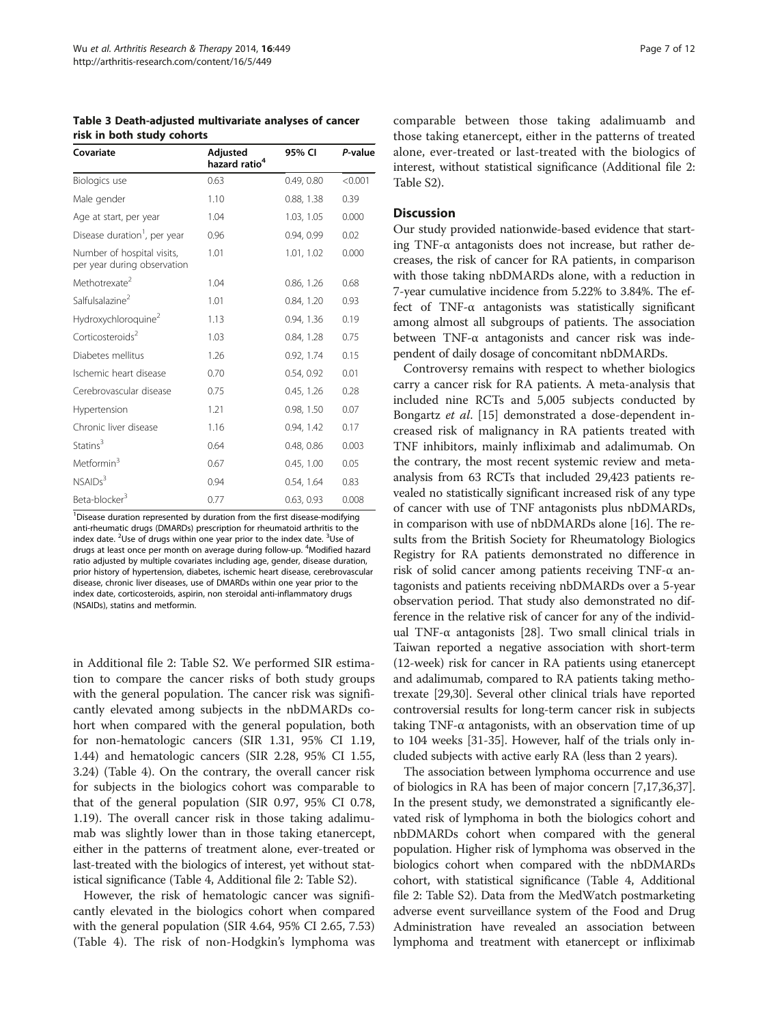<span id="page-6-0"></span>Table 3 Death-adjusted multivariate analyses of cancer risk in both study cohorts

| Covariate                                                 | Adjusted<br>hazard ratio <sup>4</sup> | 95% CI     | P-value |
|-----------------------------------------------------------|---------------------------------------|------------|---------|
| Biologics use                                             | 0.63                                  | 0.49, 0.80 | < 0.001 |
| Male gender                                               | 1.10                                  | 0.88, 1.38 | 0.39    |
| Age at start, per year                                    | 1.04                                  | 1.03, 1.05 | 0.000   |
| Disease duration <sup>1</sup> , per year                  | 0.96                                  | 0.94, 0.99 | 0.02    |
| Number of hospital visits,<br>per year during observation | 1.01                                  | 1.01, 1.02 | 0.000   |
| Methotrexate <sup>2</sup>                                 | 1.04                                  | 0.86, 1.26 | 0.68    |
| Salfulsalazine <sup>2</sup>                               | 1.01                                  | 0.84, 1.20 | 0.93    |
| Hydroxychloroquine <sup>2</sup>                           | 1.13                                  | 0.94, 1.36 | 0.19    |
| Corticosteroids <sup>2</sup>                              | 1.03                                  | 0.84, 1.28 | 0.75    |
| Diabetes mellitus                                         | 1.26                                  | 0.92, 1.74 | 0.15    |
| Ischemic heart disease                                    | 0.70                                  | 0.54, 0.92 | 0.01    |
| Cerebrovascular disease                                   | 0.75                                  | 0.45, 1.26 | 0.28    |
| Hypertension                                              | 1.21                                  | 0.98, 1.50 | 0.07    |
| Chronic liver disease                                     | 1.16                                  | 0.94, 1.42 | 0.17    |
| Statins <sup>3</sup>                                      | 0.64                                  | 0.48, 0.86 | 0.003   |
| Metformin <sup>3</sup>                                    | 0.67                                  | 0.45, 1.00 | 0.05    |
| NSAIDS <sup>3</sup>                                       | 0.94                                  | 0.54, 1.64 | 0.83    |
| Beta-blocker <sup>3</sup>                                 | 0.77                                  | 0.63, 0.93 | 0.008   |

<sup>1</sup>Disease duration represented by duration from the first disease-modifying anti-rheumatic drugs (DMARDs) prescription for rheumatoid arthritis to the index date. <sup>2</sup>Use of drugs within one year prior to the index date. <sup>3</sup>Use of drugs at least once per month on average during follow-up. <sup>4</sup>Modified hazard ratio adjusted by multiple covariates including age, gender, disease duration, prior history of hypertension, diabetes, ischemic heart disease, cerebrovascular disease, chronic liver diseases, use of DMARDs within one year prior to the index date, corticosteroids, aspirin, non steroidal anti-inflammatory drugs (NSAIDs), statins and metformin.

in Additional file [2](#page-9-0): Table S2. We performed SIR estimation to compare the cancer risks of both study groups with the general population. The cancer risk was significantly elevated among subjects in the nbDMARDs cohort when compared with the general population, both for non-hematologic cancers (SIR 1.31, 95% CI 1.19, 1.44) and hematologic cancers (SIR 2.28, 95% CI 1.55, 3.24) (Table [4\)](#page-8-0). On the contrary, the overall cancer risk for subjects in the biologics cohort was comparable to that of the general population (SIR 0.97, 95% CI 0.78, 1.19). The overall cancer risk in those taking adalimumab was slightly lower than in those taking etanercept, either in the patterns of treatment alone, ever-treated or last-treated with the biologics of interest, yet without statistical significance (Table [4](#page-8-0), Additional file [2](#page-9-0): Table S2).

However, the risk of hematologic cancer was significantly elevated in the biologics cohort when compared with the general population (SIR 4.64, 95% CI 2.65, 7.53) (Table [4\)](#page-8-0). The risk of non-Hodgkin's lymphoma was comparable between those taking adalimuamb and those taking etanercept, either in the patterns of treated alone, ever-treated or last-treated with the biologics of interest, without statistical significance (Additional file [2](#page-9-0): Table S2).

#### **Discussion**

Our study provided nationwide-based evidence that starting TNF-α antagonists does not increase, but rather decreases, the risk of cancer for RA patients, in comparison with those taking nbDMARDs alone, with a reduction in 7-year cumulative incidence from 5.22% to 3.84%. The effect of TNF-α antagonists was statistically significant among almost all subgroups of patients. The association between TNF-α antagonists and cancer risk was independent of daily dosage of concomitant nbDMARDs.

Controversy remains with respect to whether biologics carry a cancer risk for RA patients. A meta-analysis that included nine RCTs and 5,005 subjects conducted by Bongartz et al. [\[15](#page-10-0)] demonstrated a dose-dependent increased risk of malignancy in RA patients treated with TNF inhibitors, mainly infliximab and adalimumab. On the contrary, the most recent systemic review and metaanalysis from 63 RCTs that included 29,423 patients revealed no statistically significant increased risk of any type of cancer with use of TNF antagonists plus nbDMARDs, in comparison with use of nbDMARDs alone [\[16\]](#page-10-0). The results from the British Society for Rheumatology Biologics Registry for RA patients demonstrated no difference in risk of solid cancer among patients receiving TNF-α antagonists and patients receiving nbDMARDs over a 5-year observation period. That study also demonstrated no difference in the relative risk of cancer for any of the individual TNF-α antagonists [\[28\]](#page-10-0). Two small clinical trials in Taiwan reported a negative association with short-term (12-week) risk for cancer in RA patients using etanercept and adalimumab, compared to RA patients taking methotrexate [\[29,](#page-10-0)[30](#page-11-0)]. Several other clinical trials have reported controversial results for long-term cancer risk in subjects taking TNF-α antagonists, with an observation time of up to 104 weeks [\[31-35\]](#page-11-0). However, half of the trials only included subjects with active early RA (less than 2 years).

The association between lymphoma occurrence and use of biologics in RA has been of major concern [\[7,17](#page-10-0)[,36,37](#page-11-0)]. In the present study, we demonstrated a significantly elevated risk of lymphoma in both the biologics cohort and nbDMARDs cohort when compared with the general population. Higher risk of lymphoma was observed in the biologics cohort when compared with the nbDMARDs cohort, with statistical significance (Table [4](#page-8-0), Additional file [2:](#page-9-0) Table S2). Data from the MedWatch postmarketing adverse event surveillance system of the Food and Drug Administration have revealed an association between lymphoma and treatment with etanercept or infliximab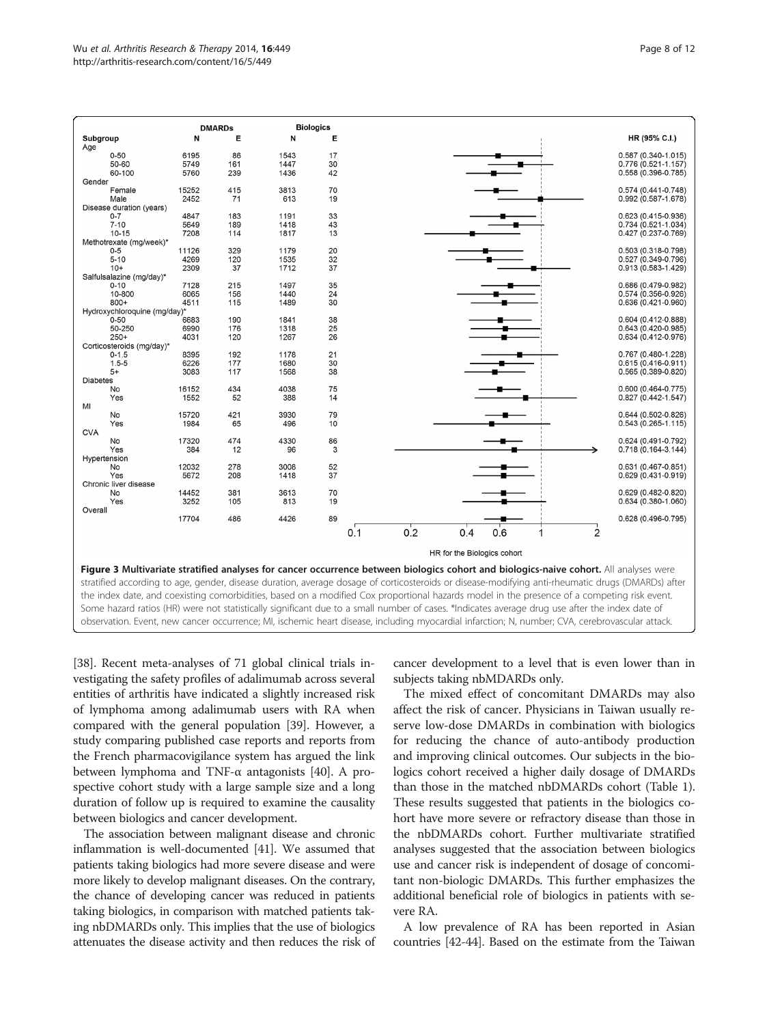<span id="page-7-0"></span>

stratified according to age, gender, disease duration, average dosage of corticosteroids or disease-modifying anti-rheumatic drugs (DMARDs) after the index date, and coexisting comorbidities, based on a modified Cox proportional hazards model in the presence of a competing risk event. Some hazard ratios (HR) were not statistically significant due to a small number of cases. \*Indicates average drug use after the index date of observation. Event, new cancer occurrence; MI, ischemic heart disease, including myocardial infarction; N, number; CVA, cerebrovascular attack.

[[38](#page-11-0)]. Recent meta-analyses of 71 global clinical trials investigating the safety profiles of adalimumab across several entities of arthritis have indicated a slightly increased risk of lymphoma among adalimumab users with RA when compared with the general population [[39](#page-11-0)]. However, a study comparing published case reports and reports from the French pharmacovigilance system has argued the link between lymphoma and TNF-α antagonists [\[40](#page-11-0)]. A prospective cohort study with a large sample size and a long duration of follow up is required to examine the causality between biologics and cancer development.

The association between malignant disease and chronic inflammation is well-documented [[41](#page-11-0)]. We assumed that patients taking biologics had more severe disease and were more likely to develop malignant diseases. On the contrary, the chance of developing cancer was reduced in patients taking biologics, in comparison with matched patients taking nbDMARDs only. This implies that the use of biologics attenuates the disease activity and then reduces the risk of cancer development to a level that is even lower than in subjects taking nbMDARDs only.

The mixed effect of concomitant DMARDs may also affect the risk of cancer. Physicians in Taiwan usually reserve low-dose DMARDs in combination with biologics for reducing the chance of auto-antibody production and improving clinical outcomes. Our subjects in the biologics cohort received a higher daily dosage of DMARDs than those in the matched nbDMARDs cohort (Table [1](#page-3-0)). These results suggested that patients in the biologics cohort have more severe or refractory disease than those in the nbDMARDs cohort. Further multivariate stratified analyses suggested that the association between biologics use and cancer risk is independent of dosage of concomitant non-biologic DMARDs. This further emphasizes the additional beneficial role of biologics in patients with severe RA.

A low prevalence of RA has been reported in Asian countries [\[42](#page-11-0)-[44](#page-11-0)]. Based on the estimate from the Taiwan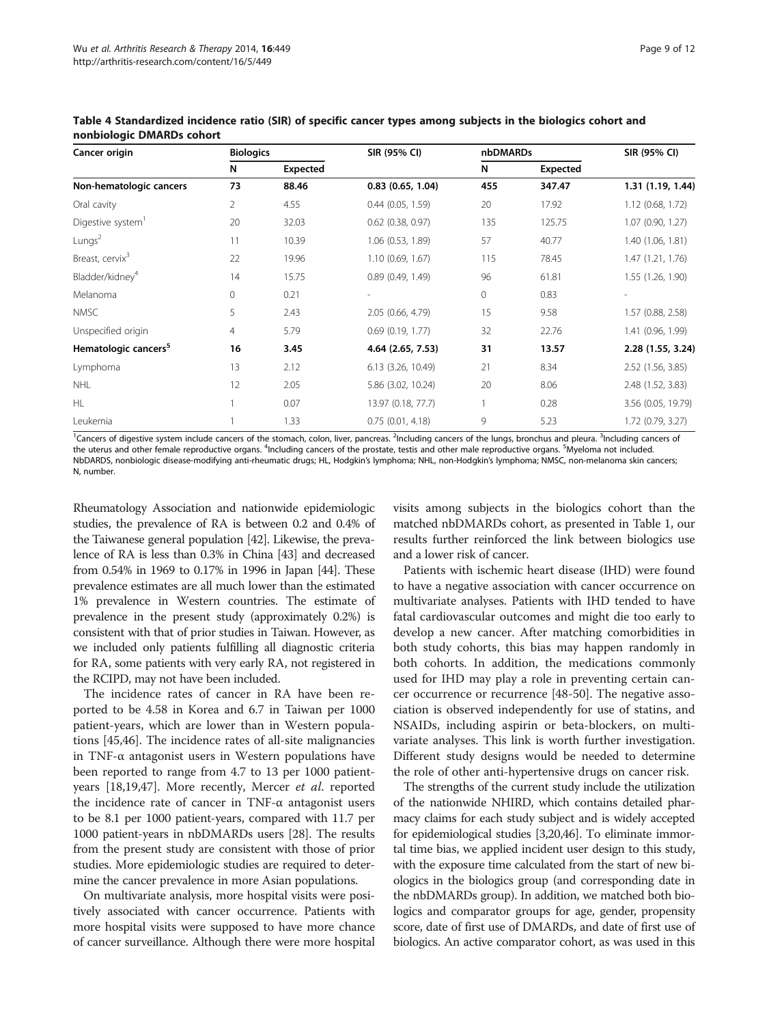| Cancer origin                    | <b>Biologics</b> |          | SIR (95% CI)          | nbDMARDs     |                 | SIR (95% CI)       |
|----------------------------------|------------------|----------|-----------------------|--------------|-----------------|--------------------|
|                                  | N                | Expected |                       | N            | <b>Expected</b> |                    |
| Non-hematologic cancers          | 73               | 88.46    | 0.83(0.65, 1.04)      | 455          | 347.47          | 1.31 (1.19, 1.44)  |
| Oral cavity                      | $\overline{2}$   | 4.55     | $0.44$ (0.05, 1.59)   | 20           | 17.92           | 1.12(0.68, 1.72)   |
| Digestive system <sup>1</sup>    | 20               | 32.03    | $0.62$ (0.38, 0.97)   | 135          | 125.75          | 1.07 (0.90, 1.27)  |
| Lungs $^2$                       | 11               | 10.39    | 1.06 (0.53, 1.89)     | 57           | 40.77           | 1.40 (1.06, 1.81)  |
| Breast, cervix <sup>3</sup>      | 22               | 19.96    | 1.10(0.69, 1.67)      | 115          | 78.45           | 1.47(1.21, 1.76)   |
| Bladder/kidney <sup>4</sup>      | 14               | 15.75    | 0.89(0.49, 1.49)      | 96           | 61.81           | 1.55 (1.26, 1.90)  |
| Melanoma                         | $\Omega$         | 0.21     |                       | $\mathbf{0}$ | 0.83            |                    |
| <b>NMSC</b>                      | 5                | 2.43     | 2.05 (0.66, 4.79)     | 15           | 9.58            | 1.57 (0.88, 2.58)  |
| Unspecified origin               | $\overline{4}$   | 5.79     | $0.69$ $(0.19, 1.77)$ | 32           | 22.76           | 1.41 (0.96, 1.99)  |
| Hematologic cancers <sup>5</sup> | 16               | 3.45     | 4.64 (2.65, 7.53)     | 31           | 13.57           | 2.28 (1.55, 3.24)  |
| Lymphoma                         | 13               | 2.12     | 6.13 (3.26, 10.49)    | 21           | 8.34            | 2.52 (1.56, 3.85)  |
| <b>NHL</b>                       | 12               | 2.05     | 5.86 (3.02, 10.24)    | 20           | 8.06            | 2.48 (1.52, 3.83)  |
| HL.                              |                  | 0.07     | 13.97 (0.18, 77.7)    |              | 0.28            | 3.56 (0.05, 19.79) |
| Leukemia                         |                  | 1.33     | 0.75(0.01, 4.18)      | 9            | 5.23            | 1.72(0.79, 3.27)   |

<span id="page-8-0"></span>Table 4 Standardized incidence ratio (SIR) of specific cancer types among subjects in the biologics cohort and nonbiologic DMARDs cohort

<sup>1</sup>Cancers of digestive system include cancers of the stomach, colon, liver, pancreas. <sup>2</sup>Including cancers of the lungs, bronchus and pleura. <sup>3</sup>Including cancers of the uterus and other female reproductive organs. <sup>4</sup>Including cancers of the prostate, testis and other male reproductive organs. <sup>5</sup>Myeloma not included. NbDARDS, nonbiologic disease-modifying anti-rheumatic drugs; HL, Hodgkin's lymphoma; NHL, non-Hodgkin's lymphoma; NMSC, non-melanoma skin cancers; N, number.

Rheumatology Association and nationwide epidemiologic studies, the prevalence of RA is between 0.2 and 0.4% of the Taiwanese general population [\[42\]](#page-11-0). Likewise, the prevalence of RA is less than 0.3% in China [\[43](#page-11-0)] and decreased from 0.54% in 1969 to 0.17% in 1996 in Japan [\[44](#page-11-0)]. These prevalence estimates are all much lower than the estimated 1% prevalence in Western countries. The estimate of prevalence in the present study (approximately 0.2%) is consistent with that of prior studies in Taiwan. However, as we included only patients fulfilling all diagnostic criteria for RA, some patients with very early RA, not registered in the RCIPD, may not have been included.

The incidence rates of cancer in RA have been reported to be 4.58 in Korea and 6.7 in Taiwan per 1000 patient-years, which are lower than in Western populations [[45,46\]](#page-11-0). The incidence rates of all-site malignancies in TNF-α antagonist users in Western populations have been reported to range from 4.7 to 13 per 1000 patientyears [\[18,19,](#page-10-0)[47\]](#page-11-0). More recently, Mercer et al. reported the incidence rate of cancer in TNF-α antagonist users to be 8.1 per 1000 patient-years, compared with 11.7 per 1000 patient-years in nbDMARDs users [[28](#page-10-0)]. The results from the present study are consistent with those of prior studies. More epidemiologic studies are required to determine the cancer prevalence in more Asian populations.

On multivariate analysis, more hospital visits were positively associated with cancer occurrence. Patients with more hospital visits were supposed to have more chance of cancer surveillance. Although there were more hospital visits among subjects in the biologics cohort than the matched nbDMARDs cohort, as presented in Table [1,](#page-3-0) our results further reinforced the link between biologics use and a lower risk of cancer.

Patients with ischemic heart disease (IHD) were found to have a negative association with cancer occurrence on multivariate analyses. Patients with IHD tended to have fatal cardiovascular outcomes and might die too early to develop a new cancer. After matching comorbidities in both study cohorts, this bias may happen randomly in both cohorts. In addition, the medications commonly used for IHD may play a role in preventing certain cancer occurrence or recurrence [\[48](#page-11-0)-[50\]](#page-11-0). The negative association is observed independently for use of statins, and NSAIDs, including aspirin or beta-blockers, on multivariate analyses. This link is worth further investigation. Different study designs would be needed to determine the role of other anti-hypertensive drugs on cancer risk.

The strengths of the current study include the utilization of the nationwide NHIRD, which contains detailed pharmacy claims for each study subject and is widely accepted for epidemiological studies [[3,20](#page-10-0)[,46\]](#page-11-0). To eliminate immortal time bias, we applied incident user design to this study, with the exposure time calculated from the start of new biologics in the biologics group (and corresponding date in the nbDMARDs group). In addition, we matched both biologics and comparator groups for age, gender, propensity score, date of first use of DMARDs, and date of first use of biologics. An active comparator cohort, as was used in this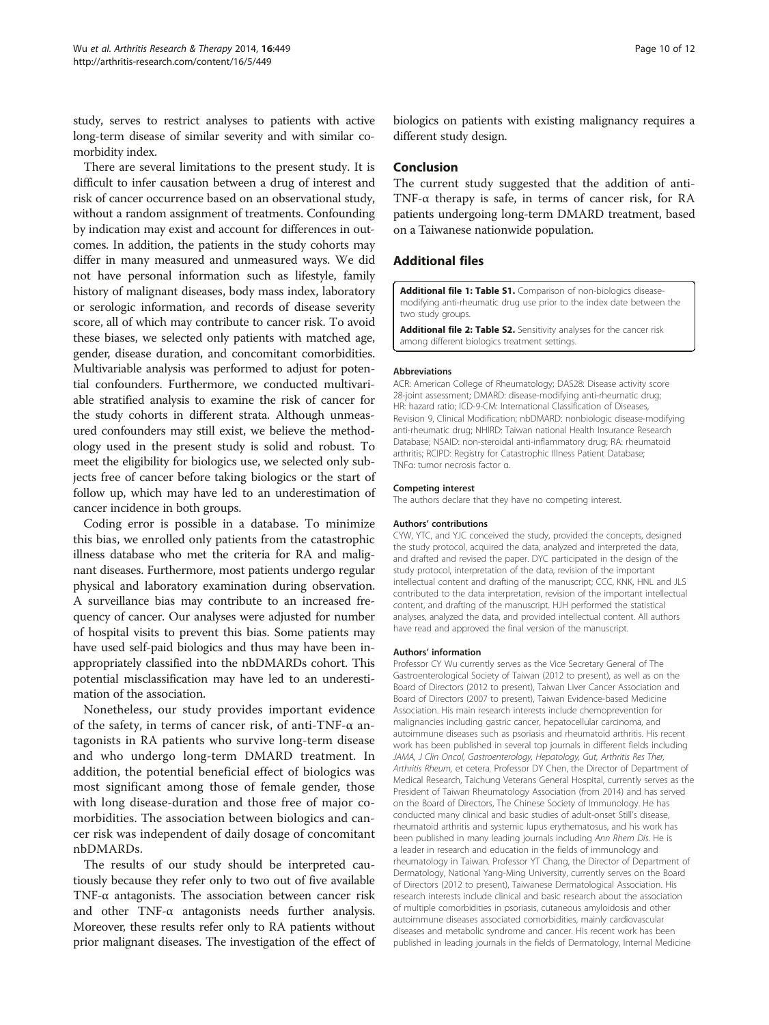<span id="page-9-0"></span>study, serves to restrict analyses to patients with active long-term disease of similar severity and with similar comorbidity index.

There are several limitations to the present study. It is difficult to infer causation between a drug of interest and risk of cancer occurrence based on an observational study, without a random assignment of treatments. Confounding by indication may exist and account for differences in outcomes. In addition, the patients in the study cohorts may differ in many measured and unmeasured ways. We did not have personal information such as lifestyle, family history of malignant diseases, body mass index, laboratory or serologic information, and records of disease severity score, all of which may contribute to cancer risk. To avoid these biases, we selected only patients with matched age, gender, disease duration, and concomitant comorbidities. Multivariable analysis was performed to adjust for potential confounders. Furthermore, we conducted multivariable stratified analysis to examine the risk of cancer for the study cohorts in different strata. Although unmeasured confounders may still exist, we believe the methodology used in the present study is solid and robust. To meet the eligibility for biologics use, we selected only subjects free of cancer before taking biologics or the start of follow up, which may have led to an underestimation of cancer incidence in both groups.

Coding error is possible in a database. To minimize this bias, we enrolled only patients from the catastrophic illness database who met the criteria for RA and malignant diseases. Furthermore, most patients undergo regular physical and laboratory examination during observation. A surveillance bias may contribute to an increased frequency of cancer. Our analyses were adjusted for number of hospital visits to prevent this bias. Some patients may have used self-paid biologics and thus may have been inappropriately classified into the nbDMARDs cohort. This potential misclassification may have led to an underestimation of the association.

Nonetheless, our study provides important evidence of the safety, in terms of cancer risk, of anti-TNF-α antagonists in RA patients who survive long-term disease and who undergo long-term DMARD treatment. In addition, the potential beneficial effect of biologics was most significant among those of female gender, those with long disease-duration and those free of major comorbidities. The association between biologics and cancer risk was independent of daily dosage of concomitant nbDMARDs.

The results of our study should be interpreted cautiously because they refer only to two out of five available TNF-α antagonists. The association between cancer risk and other TNF-α antagonists needs further analysis. Moreover, these results refer only to RA patients without prior malignant diseases. The investigation of the effect of

## Conclusion

The current study suggested that the addition of anti-TNF-α therapy is safe, in terms of cancer risk, for RA patients undergoing long-term DMARD treatment, based on a Taiwanese nationwide population.

## Additional files

[Additional file 1: Table S1.](http://arthritis-research.com/content/supplementary/s13075-014-0449-5-s1.doc) Comparison of non-biologics diseasemodifying anti-rheumatic drug use prior to the index date between the two study groups.

[Additional file 2: Table S2.](http://arthritis-research.com/content/supplementary/s13075-014-0449-5-s2.doc) Sensitivity analyses for the cancer risk among different biologics treatment settings.

#### Abbreviations

ACR: American College of Rheumatology; DAS28: Disease activity score 28-joint assessment; DMARD: disease-modifying anti-rheumatic drug; HR: hazard ratio; ICD-9-CM: International Classification of Diseases, Revision 9, Clinical Modification; nbDMARD: nonbiologic disease-modifying anti-rheumatic drug; NHIRD: Taiwan national Health Insurance Research Database; NSAID: non-steroidal anti-inflammatory drug; RA: rheumatoid arthritis; RCIPD: Registry for Catastrophic Illness Patient Database; TNFα: tumor necrosis factor α.

#### Competing interest

The authors declare that they have no competing interest.

#### Authors' contributions

CYW, YTC, and YJC conceived the study, provided the concepts, designed the study protocol, acquired the data, analyzed and interpreted the data, and drafted and revised the paper. DYC participated in the design of the study protocol, interpretation of the data, revision of the important intellectual content and drafting of the manuscript; CCC, KNK, HNL and JLS contributed to the data interpretation, revision of the important intellectual content, and drafting of the manuscript. HJH performed the statistical analyses, analyzed the data, and provided intellectual content. All authors have read and approved the final version of the manuscript.

#### Authors' information

Professor CY Wu currently serves as the Vice Secretary General of The Gastroenterological Society of Taiwan (2012 to present), as well as on the Board of Directors (2012 to present), Taiwan Liver Cancer Association and Board of Directors (2007 to present), Taiwan Evidence-based Medicine Association. His main research interests include chemoprevention for malignancies including gastric cancer, hepatocellular carcinoma, and autoimmune diseases such as psoriasis and rheumatoid arthritis. His recent work has been published in several top journals in different fields including JAMA, J Clin Oncol, Gastroenterology, Hepatology, Gut, Arthritis Res Ther, Arthritis Rheum, et cetera. Professor DY Chen, the Director of Department of Medical Research, Taichung Veterans General Hospital, currently serves as the President of Taiwan Rheumatology Association (from 2014) and has served on the Board of Directors, The Chinese Society of Immunology. He has conducted many clinical and basic studies of adult-onset Still's disease, rheumatoid arthritis and systemic lupus erythematosus, and his work has been published in many leading journals including Ann Rhem Dis. He is a leader in research and education in the fields of immunology and rheumatology in Taiwan. Professor YT Chang, the Director of Department of Dermatology, National Yang-Ming University, currently serves on the Board of Directors (2012 to present), Taiwanese Dermatological Association. His research interests include clinical and basic research about the association of multiple comorbidities in psoriasis, cutaneous amyloidosis and other autoimmune diseases associated comorbidities, mainly cardiovascular diseases and metabolic syndrome and cancer. His recent work has been published in leading journals in the fields of Dermatology, Internal Medicine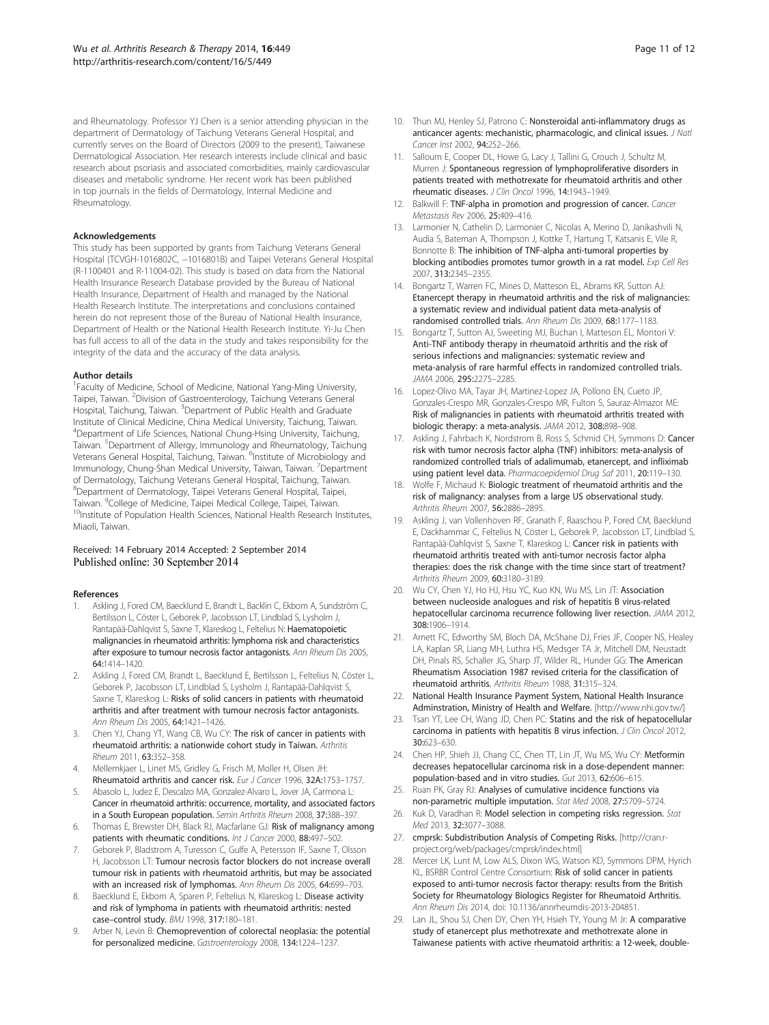<span id="page-10-0"></span>and Rheumatology. Professor YJ Chen is a senior attending physician in the department of Dermatology of Taichung Veterans General Hospital, and currently serves on the Board of Directors (2009 to the present), Taiwanese Dermatological Association. Her research interests include clinical and basic research about psoriasis and associated comorbidities, mainly cardiovascular diseases and metabolic syndrome. Her recent work has been published in top journals in the fields of Dermatology, Internal Medicine and Rheumatology.

#### Acknowledgements

This study has been supported by grants from Taichung Veterans General Hospital (TCVGH-1016802C, -1016801B) and Taipei Veterans General Hospital (R-1100401 and R-11004-02). This study is based on data from the National Health Insurance Research Database provided by the Bureau of National Health Insurance, Department of Health and managed by the National Health Research Institute. The interpretations and conclusions contained herein do not represent those of the Bureau of National Health Insurance, Department of Health or the National Health Research Institute. Yi-Ju Chen has full access to all of the data in the study and takes responsibility for the integrity of the data and the accuracy of the data analysis.

#### Author details

<sup>1</sup> Faculty of Medicine, School of Medicine, National Yang-Ming University, Taipei, Taiwan. <sup>2</sup>Division of Gastroenterology, Taichung Veterans General Hospital, Taichung, Taiwan. <sup>3</sup>Department of Public Health and Graduate Institute of Clinical Medicine, China Medical University, Taichung, Taiwan. 4 Department of Life Sciences, National Chung-Hsing University, Taichung, Taiwan. <sup>5</sup>Department of Allergy, Immunology and Rheumatology, Taichung<br>Veterans General Hospital, Taichung, Taiwan. <sup>6</sup>Institute of Microbiology and Immunology, Chung-Shan Medical University, Taiwan, Taiwan. <sup>7</sup>Department of Dermatology, Taichung Veterans General Hospital, Taichung, Taiwan. 8 Department of Dermatology, Taipei Veterans General Hospital, Taipei, Taiwan. <sup>9</sup>College of Medicine, Taipei Medical College, Taipei, Taiwan. <sup>10</sup>Institute of Population Health Sciences, National Health Research Institutes, Miaoli, Taiwan.

#### Received: 14 February 2014 Accepted: 2 September 2014 Published online: 30 September 2014

#### References

- 1. Askling J, Fored CM, Baecklund E, Brandt L, Backlin C, Ekbom A, Sundström C, Bertilsson L, Cöster L, Geborek P, Jacobsson LT, Lindblad S, Lysholm J, Rantapää-Dahlqvist S, Saxne T, Klareskog L, Feltelius N: Haematopoietic malignancies in rheumatoid arthritis: lymphoma risk and characteristics after exposure to tumour necrosis factor antagonists. Ann Rheum Dis 2005, 64:1414–1420.
- 2. Askling J, Fored CM, Brandt L, Baecklund E, Bertilsson L, Feltelius N, Cöster L, Geborek P, Jacobsson LT, Lindblad S, Lysholm J, Rantapää-Dahlqvist S, Saxne T, Klareskog L: Risks of solid cancers in patients with rheumatoid arthritis and after treatment with tumour necrosis factor antagonists. Ann Rheum Dis 2005, 64:1421–1426.
- 3. Chen YJ, Chang YT, Wang CB, Wu CY: The risk of cancer in patients with rheumatoid arthritis: a nationwide cohort study in Taiwan. Arthritis Rheum 2011, 63:352–358.
- 4. Mellemkjaer L, Linet MS, Gridley G, Frisch M, Moller H, Olsen JH: Rheumatoid arthritis and cancer risk. Eur J Cancer 1996, 32A:1753–1757.
- Abasolo L, Judez E, Descalzo MA, Gonzalez-Alvaro L, Jover JA, Carmona L: Cancer in rheumatoid arthritis: occurrence, mortality, and associated factors in a South European population. Semin Arthritis Rheum 2008, 37:388–397.
- Thomas E, Brewster DH, Black RJ, Macfarlane GJ: Risk of malignancy among patients with rheumatic conditions. Int J Cancer 2000, 88:497-502.
- 7. Geborek P, Bladstrom A, Turesson C, Gulfe A, Petersson IF, Saxne T, Olsson H, Jacobsson LT: Tumour necrosis factor blockers do not increase overall tumour risk in patients with rheumatoid arthritis, but may be associated with an increased risk of lymphomas. Ann Rheum Dis 2005, 64:699–703.
- 8. Baecklund E, Ekbom A, Sparen P, Feltelius N, Klareskog L: Disease activity and risk of lymphoma in patients with rheumatoid arthritis: nested case–control study. BMJ 1998, 317:180–181.
- 9. Arber N, Levin B: Chemoprevention of colorectal neoplasia: the potential for personalized medicine. Gastroenterology 2008, 134:1224–1237.
- 10. Thun MJ, Henley SJ, Patrono C: Nonsteroidal anti-inflammatory drugs as anticancer agents: mechanistic, pharmacologic, and clinical issues. J Natl Cancer Inst 2002, 94:252–266.
- 11. Salloum E, Cooper DL, Howe G, Lacy J, Tallini G, Crouch J, Schultz M, Murren J: Spontaneous regression of lymphoproliferative disorders in patients treated with methotrexate for rheumatoid arthritis and other rheumatic diseases. J Clin Oncol 1996, 14:1943–1949.
- 12. Balkwill F: TNF-alpha in promotion and progression of cancer. Cancer Metastasis Rev 2006, 25:409–416.
- 13. Larmonier N, Cathelin D, Larmonier C, Nicolas A, Merino D, Janikashvili N, Audia S, Bateman A, Thompson J, Kottke T, Hartung T, Katsanis E, Vile R, Bonnotte B: The inhibition of TNF-alpha anti-tumoral properties by blocking antibodies promotes tumor growth in a rat model. Exp Cell Res 2007, 313:2345–2355.
- 14. Bongartz T, Warren FC, Mines D, Matteson EL, Abrams KR, Sutton AJ: Etanercept therapy in rheumatoid arthritis and the risk of malignancies: a systematic review and individual patient data meta-analysis of randomised controlled trials. Ann Rheum Dis 2009, 68:1177–1183.
- 15. Bongartz T, Sutton AJ, Sweeting MJ, Buchan I, Matteson EL, Montori V: Anti-TNF antibody therapy in rheumatoid arthritis and the risk of serious infections and malignancies: systematic review and meta-analysis of rare harmful effects in randomized controlled trials. JAMA 2006, 295:2275–2285.
- 16. Lopez-Olivo MA, Tayar JH, Martinez-Lopez JA, Pollono EN, Cueto JP, Gonzales-Crespo MR, Gonzales-Crespo MR, Fulton S, Sauraz-Almazor ME: Risk of malignancies in patients with rheumatoid arthritis treated with biologic therapy: a meta-analysis. JAMA 2012, 308:898–908.
- 17. Askling J, Fahrbach K, Nordstrom B, Ross S, Schmid CH, Symmons D: Cancer risk with tumor necrosis factor alpha (TNF) inhibitors: meta-analysis of randomized controlled trials of adalimumab, etanercept, and infliximab using patient level data. Pharmacoepidemiol Drug Saf 2011, 20:119-130.
- 18. Wolfe F, Michaud K: Biologic treatment of rheumatoid arthritis and the risk of malignancy: analyses from a large US observational study. Arthritis Rheum 2007, 56:2886–2895.
- 19. Askling J, van Vollenhoven RF, Granath F, Raaschou P, Fored CM, Baecklund E, Dackhammar C, Feltelius N, Cöster L, Geborek P, Jacobsson LT, Lindblad S, Rantapää-Dahlqvist S, Saxne T, Klareskog L: Cancer risk in patients with rheumatoid arthritis treated with anti-tumor necrosis factor alpha therapies: does the risk change with the time since start of treatment? Arthritis Rheum 2009, 60:3180–3189.
- 20. Wu CY, Chen YJ, Ho HJ, Hsu YC, Kuo KN, Wu MS, Lin JT: Association between nucleoside analogues and risk of hepatitis B virus-related hepatocellular carcinoma recurrence following liver resection. JAMA 2012, 308:1906–1914.
- 21. Arnett FC, Edworthy SM, Bloch DA, McShane DJ, Fries JF, Cooper NS, Healey LA, Kaplan SR, Liang MH, Luthra HS, Medsger TA Jr, Mitchell DM, Neustadt DH, Pinals RS, Schaller JG, Sharp JT, Wilder RL, Hunder GG: The American Rheumatism Association 1987 revised criteria for the classification of rheumatoid arthritis. Arthritis Rheum 1988, 31:315–324.
- 22. National Health Insurance Payment System, National Health Insurance Adminstration, Ministry of Health and Welfare. [[http://www.nhi.gov.tw/\]](http://www.nhi.gov.tw/)
- 23. Tsan YT, Lee CH, Wang JD, Chen PC: Statins and the risk of hepatocellular carcinoma in patients with hepatitis B virus infection. J Clin Oncol 2012, 30:623–630.
- 24. Chen HP, Shieh JJ, Chang CC, Chen TT, Lin JT, Wu MS, Wu CY: Metformin decreases hepatocellular carcinoma risk in a dose-dependent manner: population-based and in vitro studies. Gut 2013, 62:606–615.
- 25. Ruan PK, Gray RJ: Analyses of cumulative incidence functions via non-parametric multiple imputation. Stat Med 2008, 27:5709–5724.
- 26. Kuk D, Varadhan R: Model selection in competing risks regression. Stat Med 2013, 32:3077–3088.
- 27. cmprsk: Subdistribution Analysis of Competing Risks. [[http://cran.r](http://cran.r-project.org/web/packages/cmprsk/index.html)[project.org/web/packages/cmprsk/index.html](http://cran.r-project.org/web/packages/cmprsk/index.html)]
- 28. Mercer LK, Lunt M, Low ALS, Dixon WG, Watson KD, Symmons DPM, Hyrich KL, BSRBR Control Centre Consortium: Risk of solid cancer in patients exposed to anti-tumor necrosis factor therapy: results from the British Society for Rheumatology Biologics Register for Rheumatoid Arthritis. Ann Rheum Dis 2014, doi: 10.1136/annrheumdis-2013-204851.
- 29. Lan JL, Shou SJ, Chen DY, Chen YH, Hsieh TY, Young M Jr: A comparative study of etanercept plus methotrexate and methotrexate alone in Taiwanese patients with active rheumatoid arthritis: a 12-week, double-